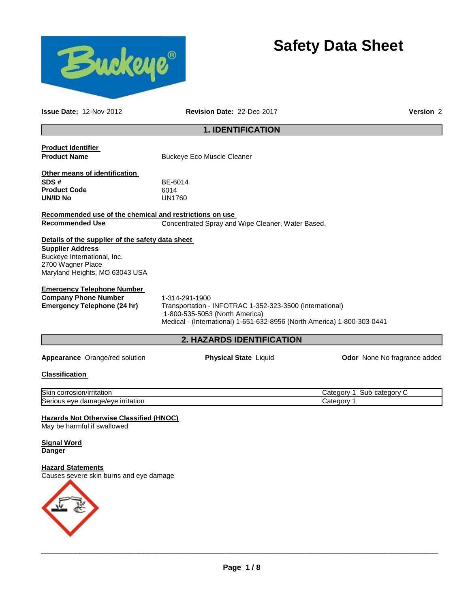

# **Safety Data Sheet**

**Issue Date:** 12-Nov-2012 **Revision Date:** 22-Dec-2017 **Version** 2

# **1. IDENTIFICATION**

| <b>Product Identifier</b>                               |                                                                         |                              |
|---------------------------------------------------------|-------------------------------------------------------------------------|------------------------------|
| <b>Product Name</b>                                     | <b>Buckeye Eco Muscle Cleaner</b>                                       |                              |
|                                                         |                                                                         |                              |
| Other means of identification                           |                                                                         |                              |
| SDS #                                                   | BE-6014                                                                 |                              |
| <b>Product Code</b>                                     | 6014                                                                    |                              |
| UN/ID No                                                | <b>UN1760</b>                                                           |                              |
| Recommended use of the chemical and restrictions on use |                                                                         |                              |
| <b>Recommended Use</b>                                  | Concentrated Spray and Wipe Cleaner, Water Based.                       |                              |
|                                                         |                                                                         |                              |
| Details of the supplier of the safety data sheet        |                                                                         |                              |
| <b>Supplier Address</b>                                 |                                                                         |                              |
| Buckeye International, Inc.                             |                                                                         |                              |
| 2700 Wagner Place                                       |                                                                         |                              |
| Maryland Heights, MO 63043 USA                          |                                                                         |                              |
| <b>Emergency Telephone Number</b>                       |                                                                         |                              |
| <b>Company Phone Number</b>                             | 1-314-291-1900                                                          |                              |
| Emergency Telephone (24 hr)                             | Transportation - INFOTRAC 1-352-323-3500 (International)                |                              |
|                                                         | 1-800-535-5053 (North America)                                          |                              |
|                                                         | Medical - (International) 1-651-632-8956 (North America) 1-800-303-0441 |                              |
|                                                         |                                                                         |                              |
|                                                         | 2. HAZARDS IDENTIFICATION                                               |                              |
| Appearance Orange/red solution                          | <b>Physical State Liquid</b>                                            | Odor None No fragrance added |
| Classification                                          |                                                                         |                              |
|                                                         |                                                                         |                              |
| Skin corrosion/irritation                               |                                                                         | Category 1 Sub-category C    |
| Serious eye damage/eye irritation                       |                                                                         | Category 1                   |
|                                                         |                                                                         |                              |
| <b>Hazards Not Otherwise Classified (HNOC)</b>          |                                                                         |                              |
| May be harmful if swallowed                             |                                                                         |                              |
| <u>Signal Word</u>                                      |                                                                         |                              |
| <b>Danger</b>                                           |                                                                         |                              |
|                                                         |                                                                         |                              |
| <b>Hazard Statements</b>                                |                                                                         |                              |
| Causes severe skin burns and eye damage                 |                                                                         |                              |
|                                                         |                                                                         |                              |
|                                                         |                                                                         |                              |
|                                                         |                                                                         |                              |
|                                                         |                                                                         |                              |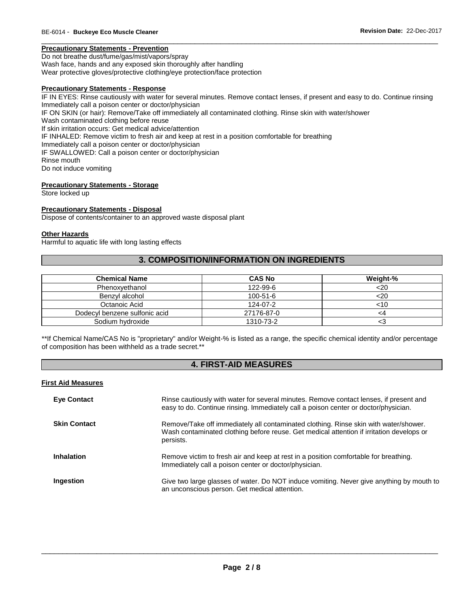# **Precautionary Statements - Prevention**

Do not breathe dust/fume/gas/mist/vapors/spray Wash face, hands and any exposed skin thoroughly after handling Wear protective gloves/protective clothing/eye protection/face protection

#### **Precautionary Statements - Response**

IF IN EYES: Rinse cautiously with water for several minutes. Remove contact lenses, if present and easy to do. Continue rinsing Immediately call a poison center or doctor/physician IF ON SKIN (or hair): Remove/Take off immediately all contaminated clothing. Rinse skin with water/shower Wash contaminated clothing before reuse If skin irritation occurs: Get medical advice/attention IF INHALED: Remove victim to fresh air and keep at rest in a position comfortable for breathing Immediately call a poison center or doctor/physician IF SWALLOWED: Call a poison center or doctor/physician Rinse mouth Do not induce vomiting

\_\_\_\_\_\_\_\_\_\_\_\_\_\_\_\_\_\_\_\_\_\_\_\_\_\_\_\_\_\_\_\_\_\_\_\_\_\_\_\_\_\_\_\_\_\_\_\_\_\_\_\_\_\_\_\_\_\_\_\_\_\_\_\_\_\_\_\_\_\_\_\_\_\_\_\_\_\_\_\_\_\_\_\_\_\_\_\_\_\_\_\_\_

#### **Precautionary Statements - Storage**

Store locked up

#### **Precautionary Statements - Disposal**

Dispose of contents/container to an approved waste disposal plant

#### **Other Hazards**

Harmful to aquatic life with long lasting effects

# **3. COMPOSITION/INFORMATION ON INGREDIENTS**

| <b>Chemical Name</b>          | <b>CAS No</b>  | Weight-% |
|-------------------------------|----------------|----------|
| Phenoxvethanol                | 122-99-6       | $<$ 20   |
| Benzyl alcohol                | $100 - 51 - 6$ | <20      |
| Octanoic Acid                 | 124-07-2       | <10      |
| Dodecyl benzene sulfonic acid | 27176-87-0     | <4       |
| Sodium hydroxide              | 1310-73-2      |          |

\*\*If Chemical Name/CAS No is "proprietary" and/or Weight-% is listed as a range, the specific chemical identity and/or percentage of composition has been withheld as a trade secret.\*\*

# **4. FIRST-AID MEASURES**

#### **First Aid Measures**

| <b>Eye Contact</b>  | Rinse cautiously with water for several minutes. Remove contact lenses, if present and<br>easy to do. Continue rinsing. Immediately call a poison center or doctor/physician.                 |
|---------------------|-----------------------------------------------------------------------------------------------------------------------------------------------------------------------------------------------|
| <b>Skin Contact</b> | Remove/Take off immediately all contaminated clothing. Rinse skin with water/shower.<br>Wash contaminated clothing before reuse. Get medical attention if irritation develops or<br>persists. |
| <b>Inhalation</b>   | Remove victim to fresh air and keep at rest in a position comfortable for breathing.<br>Immediately call a poison center or doctor/physician.                                                 |
| Ingestion           | Give two large glasses of water. Do NOT induce vomiting. Never give anything by mouth to<br>an unconscious person. Get medical attention.                                                     |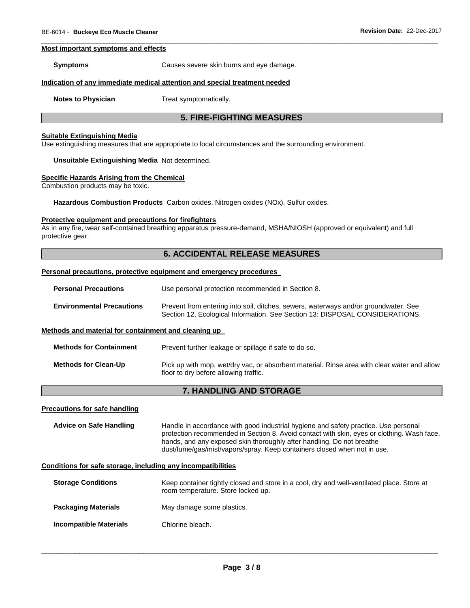#### **Most important symptoms and effects**

**Symptoms** Causes severe skin burns and eye damage.

# **Indication of any immediate medical attention and special treatment needed**

**Notes to Physician**  Treat symptomatically.

# **5. FIRE-FIGHTING MEASURES**

\_\_\_\_\_\_\_\_\_\_\_\_\_\_\_\_\_\_\_\_\_\_\_\_\_\_\_\_\_\_\_\_\_\_\_\_\_\_\_\_\_\_\_\_\_\_\_\_\_\_\_\_\_\_\_\_\_\_\_\_\_\_\_\_\_\_\_\_\_\_\_\_\_\_\_\_\_\_\_\_\_\_\_\_\_\_\_\_\_\_\_\_\_

#### **Suitable Extinguishing Media**

Use extinguishing measures that are appropriate to local circumstances and the surrounding environment.

#### **Unsuitable Extinguishing Media** Not determined.

#### **Specific Hazards Arising from the Chemical**

Combustion products may be toxic.

**Hazardous Combustion Products** Carbon oxides. Nitrogen oxides (NOx). Sulfur oxides.

#### **Protective equipment and precautions for firefighters**

As in any fire, wear self-contained breathing apparatus pressure-demand, MSHA/NIOSH (approved or equivalent) and full protective gear.

# **6. ACCIDENTAL RELEASE MEASURES**

#### **Personal precautions, protective equipment and emergency procedures**

| <b>Personal Precautions</b>                          | Use personal protection recommended in Section 8.                                                                                                                   |
|------------------------------------------------------|---------------------------------------------------------------------------------------------------------------------------------------------------------------------|
| <b>Environmental Precautions</b>                     | Prevent from entering into soil, ditches, sewers, waterways and/or groundwater. See<br>Section 12, Ecological Information. See Section 13: DISPOSAL CONSIDERATIONS. |
| Methods and material for containment and cleaning up |                                                                                                                                                                     |
| <b>Methods for Containment</b>                       | Prevent further leakage or spillage if safe to do so.                                                                                                               |

# **Methods for Clean-Up** Pick up with mop, wet/dry vac, or absorbent material. Rinse area with clear water and allow floor to dry before allowing traffic.

# **7. HANDLING AND STORAGE**

#### **Precautions for safe handling**

**Advice on Safe Handling** Handle in accordance with good industrial hygiene and safety practice. Use personal protection recommended in Section 8. Avoid contact with skin, eyes or clothing. Wash face, hands, and any exposed skin thoroughly after handling. Do not breathe dust/fume/gas/mist/vapors/spray. Keep containers closed when not in use.

#### **Conditions for safe storage, including any incompatibilities**

| <b>Storage Conditions</b>  | Keep container tightly closed and store in a cool, dry and well-ventilated place. Store at<br>room temperature. Store locked up. |
|----------------------------|----------------------------------------------------------------------------------------------------------------------------------|
| <b>Packaging Materials</b> | May damage some plastics.                                                                                                        |
| Incompatible Materials     | Chlorine bleach.                                                                                                                 |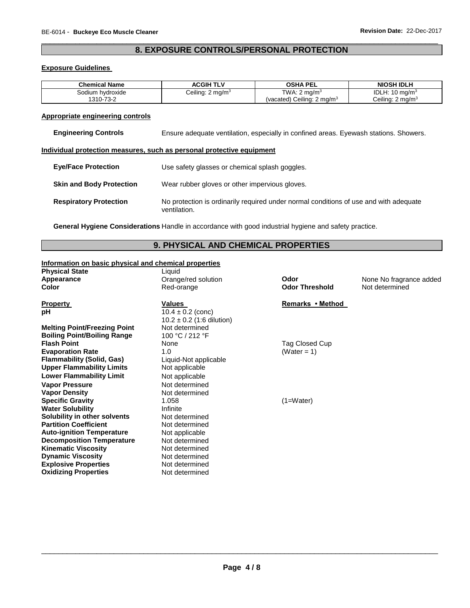# \_\_\_\_\_\_\_\_\_\_\_\_\_\_\_\_\_\_\_\_\_\_\_\_\_\_\_\_\_\_\_\_\_\_\_\_\_\_\_\_\_\_\_\_\_\_\_\_\_\_\_\_\_\_\_\_\_\_\_\_\_\_\_\_\_\_\_\_\_\_\_\_\_\_\_\_\_\_\_\_\_\_\_\_\_\_\_\_\_\_\_\_\_ **8. EXPOSURE CONTROLS/PERSONAL PROTECTION**

### **Exposure Guidelines**

| <b>Chemical Name</b> | <b>ACGIH TLV</b>            | OSHA PEL                              | <b>NIOSH IDLH</b>           |
|----------------------|-----------------------------|---------------------------------------|-----------------------------|
| Sodium hvdroxide     | Ceiling: $2 \text{ mg/m}^3$ | TWA: $2 \text{ ma/m}^3$               | IDLH: $10 \text{ mg/m}^3$   |
| 1310-73-2            |                             | (vacated) Ceiling: $2 \text{ mg/m}^3$ | Ceiling: $2 \text{ mg/m}^3$ |

# **Appropriate engineering controls**

# **Individual protection measures, such as personal protective equipment**

| <b>Eve/Face Protection</b>      | Use safety glasses or chemical splash goggles.                                                        |
|---------------------------------|-------------------------------------------------------------------------------------------------------|
| <b>Skin and Body Protection</b> | Wear rubber gloves or other impervious gloves.                                                        |
| <b>Respiratory Protection</b>   | No protection is ordinarily required under normal conditions of use and with adequate<br>ventilation. |

**General Hygiene Considerations** Handle in accordance with good industrial hygiene and safety practice.

# **9. PHYSICAL AND CHEMICAL PROPERTIES**

# **Information on basic physical and chemical properties**

| <b>Physical State</b>               | Liquid                        |                       |                         |
|-------------------------------------|-------------------------------|-----------------------|-------------------------|
| Appearance                          | Orange/red solution           | Odor                  | None No fragrance added |
| <b>Color</b>                        | Red-orange                    | <b>Odor Threshold</b> | Not determined          |
| <b>Property</b>                     | Values                        | Remarks • Method      |                         |
| рH                                  | $10.4 \pm 0.2$ (conc)         |                       |                         |
|                                     | $10.2 \pm 0.2$ (1:6 dilution) |                       |                         |
| <b>Melting Point/Freezing Point</b> | Not determined                |                       |                         |
| <b>Boiling Point/Boiling Range</b>  | 100 °C / 212 °F               |                       |                         |
| <b>Flash Point</b>                  | None                          | Tag Closed Cup        |                         |
| <b>Evaporation Rate</b>             | 1.0                           | (Water = 1)           |                         |
| <b>Flammability (Solid, Gas)</b>    | Liquid-Not applicable         |                       |                         |
| <b>Upper Flammability Limits</b>    | Not applicable                |                       |                         |
| <b>Lower Flammability Limit</b>     | Not applicable                |                       |                         |
| <b>Vapor Pressure</b>               | Not determined                |                       |                         |
| <b>Vapor Density</b>                | Not determined                |                       |                         |
| <b>Specific Gravity</b>             | 1.058                         | $(1=Water)$           |                         |
| <b>Water Solubility</b>             | Infinite                      |                       |                         |
| Solubility in other solvents        | Not determined                |                       |                         |
| <b>Partition Coefficient</b>        | Not determined                |                       |                         |
| <b>Auto-ignition Temperature</b>    | Not applicable                |                       |                         |
| <b>Decomposition Temperature</b>    | Not determined                |                       |                         |
| <b>Kinematic Viscosity</b>          | Not determined                |                       |                         |
| <b>Dynamic Viscosity</b>            | Not determined                |                       |                         |
| <b>Explosive Properties</b>         | Not determined                |                       |                         |
| <b>Oxidizing Properties</b>         | Not determined                |                       |                         |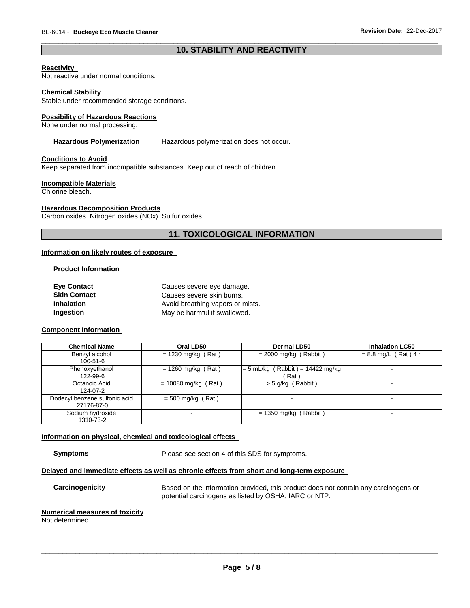# \_\_\_\_\_\_\_\_\_\_\_\_\_\_\_\_\_\_\_\_\_\_\_\_\_\_\_\_\_\_\_\_\_\_\_\_\_\_\_\_\_\_\_\_\_\_\_\_\_\_\_\_\_\_\_\_\_\_\_\_\_\_\_\_\_\_\_\_\_\_\_\_\_\_\_\_\_\_\_\_\_\_\_\_\_\_\_\_\_\_\_\_\_ **10. STABILITY AND REACTIVITY**

#### **Reactivity**

Not reactive under normal conditions.

#### **Chemical Stability**

Stable under recommended storage conditions.

#### **Possibility of Hazardous Reactions**

None under normal processing.

# Hazardous Polymerization Hazardous polymerization does not occur.

#### **Conditions to Avoid**

Keep separated from incompatible substances. Keep out of reach of children.

#### **Incompatible Materials**

Chlorine bleach.

#### **Hazardous Decomposition Products**

Carbon oxides. Nitrogen oxides (NOx). Sulfur oxides.

# **11. TOXICOLOGICAL INFORMATION**

#### **Information on likely routes of exposure**

#### **Product Information**

| <b>Eye Contact</b>  | Causes severe eye damage.        |  |  |
|---------------------|----------------------------------|--|--|
| <b>Skin Contact</b> | Causes severe skin burns.        |  |  |
| <b>Inhalation</b>   | Avoid breathing vapors or mists. |  |  |
| Ingestion           | May be harmful if swallowed.     |  |  |

#### **Component Information**

| <b>Chemical Name</b>                        | Oral LD50             | <b>Dermal LD50</b>                         | <b>Inhalation LC50</b> |
|---------------------------------------------|-----------------------|--------------------------------------------|------------------------|
| Benzyl alcohol<br>$100 - 51 - 6$            | $= 1230$ mg/kg (Rat)  | $= 2000$ mg/kg (Rabbit)                    | $= 8.8$ mg/L (Rat) 4 h |
| Phenoxyethanol<br>122-99-6                  | $= 1260$ mg/kg (Rat)  | $= 5$ mL/kg (Rabbit) = 14422 mg/kg<br>Rat` | -                      |
| Octanoic Acid<br>124-07-2                   | $= 10080$ mg/kg (Rat) | $>$ 5 g/kg (Rabbit)                        | -                      |
| Dodecyl benzene sulfonic acid<br>27176-87-0 | $= 500$ mg/kg (Rat)   | -                                          | -                      |
| Sodium hydroxide<br>1310-73-2               |                       | $= 1350$ mg/kg (Rabbit)                    | -                      |

#### **Information on physical, chemical and toxicological effects**

**Symptoms** Please see section 4 of this SDS for symptoms.

# **Delayed and immediate effects as well as chronic effects from short and long-term exposure**

**Carcinogenicity** Based on the information provided, this product does not contain any carcinogens or potential carcinogens as listed by OSHA, IARC or NTP.

#### **Numerical measures of toxicity**

Not determined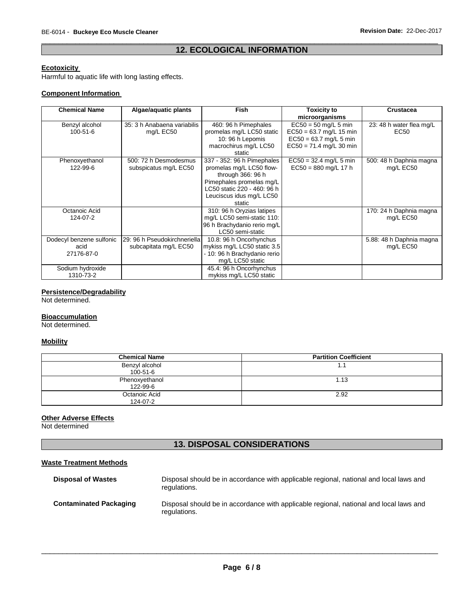# \_\_\_\_\_\_\_\_\_\_\_\_\_\_\_\_\_\_\_\_\_\_\_\_\_\_\_\_\_\_\_\_\_\_\_\_\_\_\_\_\_\_\_\_\_\_\_\_\_\_\_\_\_\_\_\_\_\_\_\_\_\_\_\_\_\_\_\_\_\_\_\_\_\_\_\_\_\_\_\_\_\_\_\_\_\_\_\_\_\_\_\_\_ **12. ECOLOGICAL INFORMATION**

# **Ecotoxicity**

Harmful to aquatic life with long lasting effects.

# **Component Information**

| <b>Chemical Name</b>                           | Algae/aquatic plants                                  | <b>Fish</b>                                                                                                                                                                  | <b>Toxicity to</b><br>microorganisms                                                                         | Crustacea                                    |
|------------------------------------------------|-------------------------------------------------------|------------------------------------------------------------------------------------------------------------------------------------------------------------------------------|--------------------------------------------------------------------------------------------------------------|----------------------------------------------|
| Benzyl alcohol<br>$100 - 51 - 6$               | 35: 3 h Anabaena variabilis<br>mg/L EC50              | 460: 96 h Pimephales<br>promelas mg/L LC50 static<br>10: 96 h Lepomis<br>macrochirus mg/L LC50<br>static                                                                     | $EC50 = 50$ mg/L 5 min<br>$EC50 = 63.7$ mg/L 15 min<br>$EC50 = 63.7$ mg/L 5 min<br>$EC50 = 71.4$ mg/L 30 min | 23: 48 h water flea mg/L<br>EC <sub>50</sub> |
| Phenoxyethanol<br>122-99-6                     | 500: 72 h Desmodesmus<br>subspicatus mg/L EC50        | 337 - 352: 96 h Pimephales<br>promelas mg/L LC50 flow-<br>through 366: 96 h<br>Pimephales promelas mg/L<br>LC50 static 220 - 460: 96 h<br>Leuciscus idus mg/L LC50<br>static | $EC50 = 32.4$ mg/L 5 min<br>$EC50 = 880$ mg/L 17 h                                                           | 500: 48 h Daphnia magna<br>mg/L EC50         |
| Octanoic Acid<br>124-07-2                      |                                                       | 310: 96 h Oryzias latipes<br>mg/L LC50 semi-static 110:<br>96 h Brachydanio rerio mg/L<br>LC50 semi-static                                                                   |                                                                                                              | 170: 24 h Daphnia magna<br>mg/L EC50         |
| Dodecyl benzene sulfonic<br>acid<br>27176-87-0 | 29: 96 h Pseudokirchneriella<br>subcapitata mg/L EC50 | 10.8: 96 h Oncorhynchus<br>mykiss mg/L LC50 static 3.5<br>- 10: 96 h Brachydanio rerio<br>mg/L LC50 static                                                                   |                                                                                                              | 5.88: 48 h Daphnia magna<br>mg/L EC50        |
| Sodium hydroxide<br>1310-73-2                  |                                                       | 45.4: 96 h Oncorhynchus<br>mykiss mg/L LC50 static                                                                                                                           |                                                                                                              |                                              |

# **Persistence/Degradability**

Not determined.

# **Bioaccumulation**

Not determined.

# **Mobility**

| <b>Chemical Name</b>       | <b>Partition Coefficient</b> |
|----------------------------|------------------------------|
| Benzyl alcohol<br>100-51-6 | 1.1                          |
| Phenoxyethanol<br>122-99-6 | 1.13                         |
| Octanoic Acid<br>124-07-2  | 2.92                         |

# **Other Adverse Effects**

Not determined

# **13. DISPOSAL CONSIDERATIONS**

# **Waste Treatment Methods**

| <b>Disposal of Wastes</b>     | Disposal should be in accordance with applicable regional, national and local laws and<br>regulations. |
|-------------------------------|--------------------------------------------------------------------------------------------------------|
| <b>Contaminated Packaging</b> | Disposal should be in accordance with applicable regional, national and local laws and<br>regulations. |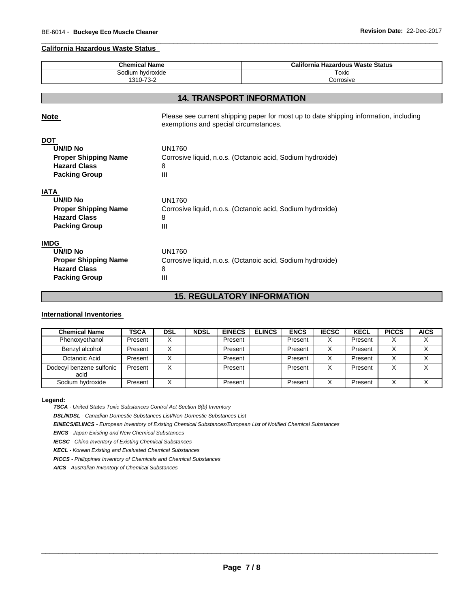#### **California Hazardous Waste Status**

| <b>Chemical Name</b><br>Sodium hydroxide |                                                                                                                                | California Hazardous Waste Status<br>Toxic                 |  |  |
|------------------------------------------|--------------------------------------------------------------------------------------------------------------------------------|------------------------------------------------------------|--|--|
|                                          |                                                                                                                                |                                                            |  |  |
|                                          |                                                                                                                                |                                                            |  |  |
|                                          |                                                                                                                                | <b>14. TRANSPORT INFORMATION</b>                           |  |  |
| <b>Note</b>                              | Please see current shipping paper for most up to date shipping information, including<br>exemptions and special circumstances. |                                                            |  |  |
| <u>DOT</u>                               |                                                                                                                                |                                                            |  |  |
| <b>UN/ID No</b>                          | <b>UN1760</b>                                                                                                                  |                                                            |  |  |
| <b>Proper Shipping Name</b>              | Corrosive liquid, n.o.s. (Octanoic acid, Sodium hydroxide)                                                                     |                                                            |  |  |
| <b>Hazard Class</b>                      | 8                                                                                                                              |                                                            |  |  |
| <b>Packing Group</b>                     | III                                                                                                                            |                                                            |  |  |
| IATA                                     |                                                                                                                                |                                                            |  |  |
| <b>UN/ID No</b>                          | <b>UN1760</b>                                                                                                                  |                                                            |  |  |
| <b>Proper Shipping Name</b>              |                                                                                                                                | Corrosive liquid, n.o.s. (Octanoic acid, Sodium hydroxide) |  |  |
| <b>Hazard Class</b>                      | 8                                                                                                                              |                                                            |  |  |
| <b>Packing Group</b>                     | Ш                                                                                                                              |                                                            |  |  |
| <b>IMDG</b>                              |                                                                                                                                |                                                            |  |  |
| <b>UN/ID No</b>                          | <b>UN1760</b>                                                                                                                  |                                                            |  |  |
| <b>Proper Shipping Name</b>              |                                                                                                                                | Corrosive liquid, n.o.s. (Octanoic acid, Sodium hydroxide) |  |  |
| <b>Hazard Class</b>                      | 8                                                                                                                              |                                                            |  |  |
| <b>Packing Group</b>                     | Ш                                                                                                                              |                                                            |  |  |

\_\_\_\_\_\_\_\_\_\_\_\_\_\_\_\_\_\_\_\_\_\_\_\_\_\_\_\_\_\_\_\_\_\_\_\_\_\_\_\_\_\_\_\_\_\_\_\_\_\_\_\_\_\_\_\_\_\_\_\_\_\_\_\_\_\_\_\_\_\_\_\_\_\_\_\_\_\_\_\_\_\_\_\_\_\_\_\_\_\_\_\_\_

# **15. REGULATORY INFORMATION**

# **International Inventories**

| <b>Chemical Name</b>             | <b>TSCA</b> | <b>DSL</b> | <b>NDSL</b> | <b>EINECS</b> | <b>ELINCS</b> | <b>ENCS</b> | <b>IECSC</b> | <b>KECL</b> | <b>PICCS</b> | <b>AICS</b> |
|----------------------------------|-------------|------------|-------------|---------------|---------------|-------------|--------------|-------------|--------------|-------------|
| Phenoxyethanol                   | Present     |            |             | Present       |               | Present     |              | Present     |              |             |
| Benzyl alcohol                   | Present     |            |             | Present       |               | Present     | v            | Present     |              |             |
| Octanoic Acid                    | Present     |            |             | Present       |               | Present     |              | Present     |              |             |
| Dodecyl benzene sulfonic<br>acid | Present     |            |             | Present       |               | Present     |              | Present     |              |             |
| Sodium hydroxide                 | Present     |            |             | Present       |               | Present     | ∧            | Present     |              |             |

#### **Legend:**

*TSCA - United States Toxic Substances Control Act Section 8(b) Inventory* 

*DSL/NDSL - Canadian Domestic Substances List/Non-Domestic Substances List* 

*EINECS/ELINCS - European Inventory of Existing Chemical Substances/European List of Notified Chemical Substances* 

*ENCS - Japan Existing and New Chemical Substances* 

*IECSC - China Inventory of Existing Chemical Substances* 

*KECL - Korean Existing and Evaluated Chemical Substances* 

*PICCS - Philippines Inventory of Chemicals and Chemical Substances* 

*AICS - Australian Inventory of Chemical Substances*